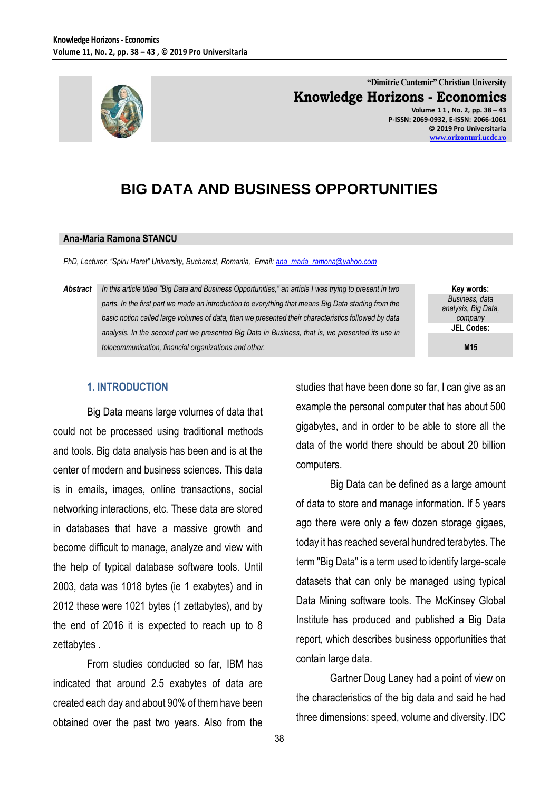

#### **"Dimitrie Cantemir" Christian University Knowledge Horizons - Economics Volume 1 1 , No. 2, pp. 38 – 43 P-ISSN: 2069-0932, E-ISSN: 2066-1061**

**© 2019 Pro Universitaria [www.orizonturi.ucdc.ro](http://www.orizonturi.ucdc.ro/)**

# **BIG DATA AND BUSINESS OPPORTUNITIES**

#### **Ana-Maria Ramona STANCU**

*PhD, Lecturer, "Spiru Haret" University, Bucharest, Romania, Email: ana\_maria\_ramona@yahoo.com*

*Abstract In this article titled "Big Data and Business Opportunities," an article I was trying to present in two parts. In the first part we made an introduction to everything that means Big Data starting from the basic notion called large volumes of data, then we presented their characteristics followed by data analysis. In the second part we presented Big Data in Business, that is, we presented its use in telecommunication, financial organizations and other.*

**Key words:** *Business, data analysis, Big Data, company* **JEL Codes:**

**M15**

## **1. INTRODUCTION**

Big Data means large volumes of data that could not be processed using traditional methods and tools. Big data analysis has been and is at the center of modern and business sciences. This data is in emails, images, online transactions, social networking interactions, etc. These data are stored in databases that have a massive growth and become difficult to manage, analyze and view with the help of typical database software tools. Until 2003, data was 1018 bytes (ie 1 exabytes) and in 2012 these were 1021 bytes (1 zettabytes), and by the end of 2016 it is expected to reach up to 8 zettabytes .

From studies conducted so far, IBM has indicated that around 2.5 exabytes of data are created each day and about 90% of them have been obtained over the past two years. Also from the studies that have been done so far, I can give as an example the personal computer that has about 500 gigabytes, and in order to be able to store all the data of the world there should be about 20 billion computers.

Big Data can be defined as a large amount of data to store and manage information. If 5 years ago there were only a few dozen storage gigaes, today it has reached several hundred terabytes. The term "Big Data" is a term used to identify large-scale datasets that can only be managed using typical Data Mining software tools. The McKinsey Global Institute has produced and published a Big Data report, which describes business opportunities that contain large data.

Gartner Doug Laney had a point of view on the characteristics of the big data and said he had three dimensions: speed, volume and diversity. IDC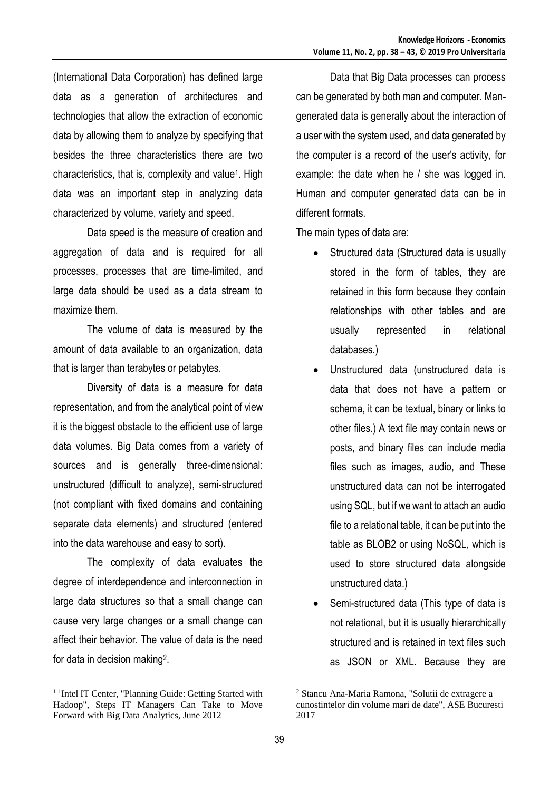(International Data Corporation) has defined large data as a generation of architectures and technologies that allow the extraction of economic data by allowing them to analyze by specifying that besides the three characteristics there are two characteristics, that is, complexity and value<sup>1</sup>. High data was an important step in analyzing data characterized by volume, variety and speed.

Data speed is the measure of creation and aggregation of data and is required for all processes, processes that are time-limited, and large data should be used as a data stream to maximize them.

The volume of data is measured by the amount of data available to an organization, data that is larger than terabytes or petabytes.

Diversity of data is a measure for data representation, and from the analytical point of view it is the biggest obstacle to the efficient use of large data volumes. Big Data comes from a variety of sources and is generally three-dimensional: unstructured (difficult to analyze), semi-structured (not compliant with fixed domains and containing separate data elements) and structured (entered into the data warehouse and easy to sort).

The complexity of data evaluates the degree of interdependence and interconnection in large data structures so that a small change can cause very large changes or a small change can affect their behavior. The value of data is the need for data in decision making<sup>2</sup>.

 $\overline{a}$ 

Data that Big Data processes can process can be generated by both man and computer. Mangenerated data is generally about the interaction of a user with the system used, and data generated by the computer is a record of the user's activity, for example: the date when he / she was logged in. Human and computer generated data can be in different formats.

The main types of data are:

- Structured data (Structured data is usually stored in the form of tables, they are retained in this form because they contain relationships with other tables and are usually represented in relational databases.)
- Unstructured data (unstructured data is data that does not have a pattern or schema, it can be textual, binary or links to other files.) A text file may contain news or posts, and binary files can include media files such as images, audio, and These unstructured data can not be interrogated using SQL, but if we want to attach an audio file to a relational table, it can be put into the table as BLOB2 or using NoSQL, which is used to store structured data alongside unstructured data.)
- Semi-structured data (This type of data is not relational, but it is usually hierarchically structured and is retained in text files such as JSON or XML. Because they are

<sup>&</sup>lt;sup>1</sup> <sup>1</sup>Intel IT Center, "Planning Guide: Getting Started with Hadoop", Steps IT Managers Can Take to Move Forward with Big Data Analytics, June 2012

<sup>2</sup> Stancu Ana-Maria Ramona, "Solutii de extragere a cunostintelor din volume mari de date", ASE Bucuresti 2017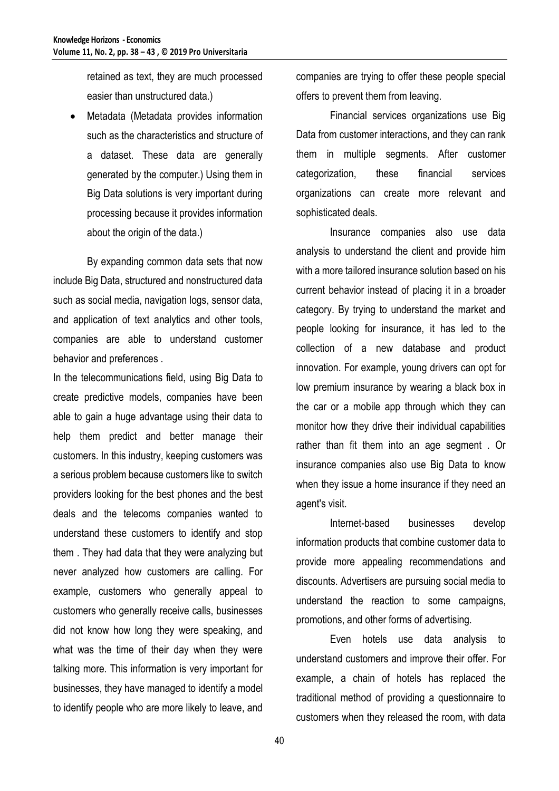retained as text, they are much processed easier than unstructured data.)

 Metadata (Metadata provides information such as the characteristics and structure of a dataset. These data are generally generated by the computer.) Using them in Big Data solutions is very important during processing because it provides information about the origin of the data.)

By expanding common data sets that now include Big Data, structured and nonstructured data such as social media, navigation logs, sensor data, and application of text analytics and other tools, companies are able to understand customer behavior and preferences .

In the telecommunications field, using Big Data to create predictive models, companies have been able to gain a huge advantage using their data to help them predict and better manage their customers. In this industry, keeping customers was a serious problem because customers like to switch providers looking for the best phones and the best deals and the telecoms companies wanted to understand these customers to identify and stop them . They had data that they were analyzing but never analyzed how customers are calling. For example, customers who generally appeal to customers who generally receive calls, businesses did not know how long they were speaking, and what was the time of their day when they were talking more. This information is very important for businesses, they have managed to identify a model to identify people who are more likely to leave, and

companies are trying to offer these people special offers to prevent them from leaving.

Financial services organizations use Big Data from customer interactions, and they can rank them in multiple segments. After customer categorization, these financial services organizations can create more relevant and sophisticated deals.

Insurance companies also use data analysis to understand the client and provide him with a more tailored insurance solution based on his current behavior instead of placing it in a broader category. By trying to understand the market and people looking for insurance, it has led to the collection of a new database and product innovation. For example, young drivers can opt for low premium insurance by wearing a black box in the car or a mobile app through which they can monitor how they drive their individual capabilities rather than fit them into an age segment . Or insurance companies also use Big Data to know when they issue a home insurance if they need an agent's visit.

Internet-based businesses develop information products that combine customer data to provide more appealing recommendations and discounts. Advertisers are pursuing social media to understand the reaction to some campaigns, promotions, and other forms of advertising.

Even hotels use data analysis to understand customers and improve their offer. For example, a chain of hotels has replaced the traditional method of providing a questionnaire to customers when they released the room, with data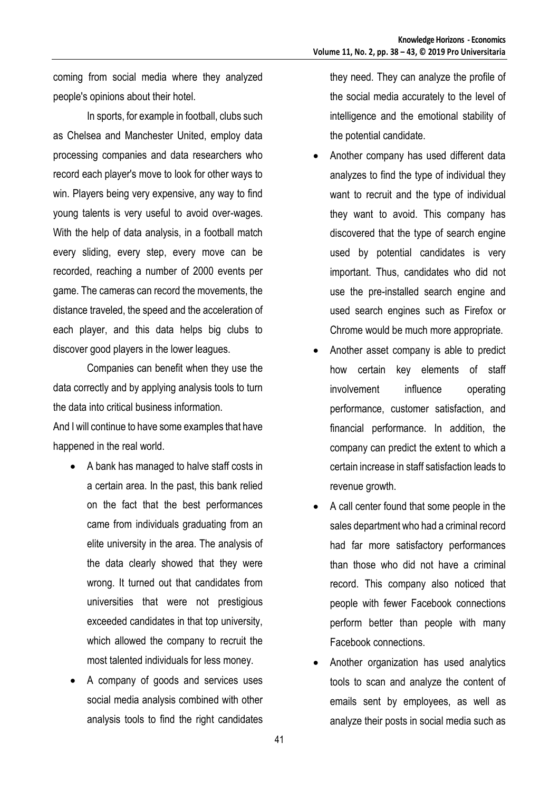coming from social media where they analyzed people's opinions about their hotel.

In sports, for example in football, clubs such as Chelsea and Manchester United, employ data processing companies and data researchers who record each player's move to look for other ways to win. Players being very expensive, any way to find young talents is very useful to avoid over-wages. With the help of data analysis, in a football match every sliding, every step, every move can be recorded, reaching a number of 2000 events per game. The cameras can record the movements, the distance traveled, the speed and the acceleration of each player, and this data helps big clubs to discover good players in the lower leagues.

Companies can benefit when they use the data correctly and by applying analysis tools to turn the data into critical business information.

And I will continue to have some examples that have happened in the real world.

- A bank has managed to halve staff costs in a certain area. In the past, this bank relied on the fact that the best performances came from individuals graduating from an elite university in the area. The analysis of the data clearly showed that they were wrong. It turned out that candidates from universities that were not prestigious exceeded candidates in that top university, which allowed the company to recruit the most talented individuals for less money.
- A company of goods and services uses social media analysis combined with other analysis tools to find the right candidates

they need. They can analyze the profile of the social media accurately to the level of intelligence and the emotional stability of the potential candidate.

- Another company has used different data analyzes to find the type of individual they want to recruit and the type of individual they want to avoid. This company has discovered that the type of search engine used by potential candidates is very important. Thus, candidates who did not use the pre-installed search engine and used search engines such as Firefox or Chrome would be much more appropriate.
- Another asset company is able to predict how certain key elements of staff involvement influence operating performance, customer satisfaction, and financial performance. In addition, the company can predict the extent to which a certain increase in staff satisfaction leads to revenue growth.
- A call center found that some people in the sales department who had a criminal record had far more satisfactory performances than those who did not have a criminal record. This company also noticed that people with fewer Facebook connections perform better than people with many Facebook connections.
- Another organization has used analytics tools to scan and analyze the content of emails sent by employees, as well as analyze their posts in social media such as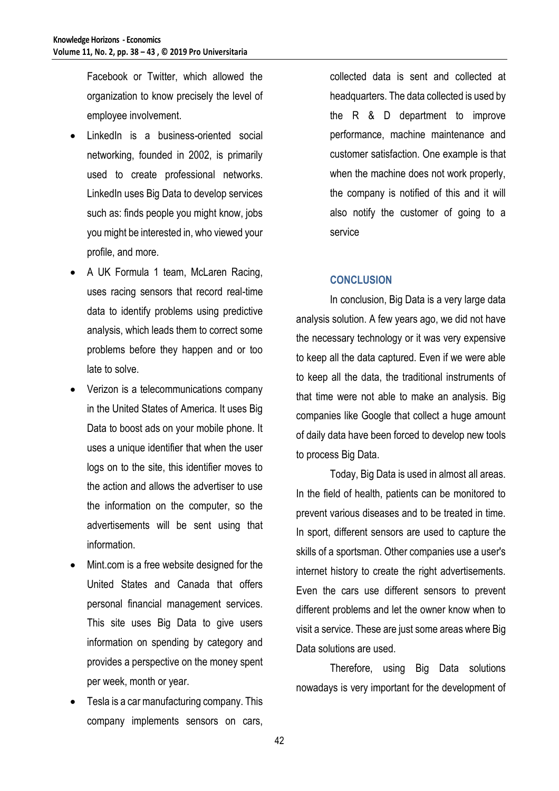Facebook or Twitter, which allowed the organization to know precisely the level of employee involvement.

- LinkedIn is a business-oriented social networking, founded in 2002, is primarily used to create professional networks. LinkedIn uses Big Data to develop services such as: finds people you might know, jobs you might be interested in, who viewed your profile, and more.
- A UK Formula 1 team, McLaren Racing, uses racing sensors that record real-time data to identify problems using predictive analysis, which leads them to correct some problems before they happen and or too late to solve.
- Verizon is a telecommunications company in the United States of America. It uses Big Data to boost ads on your mobile phone. It uses a unique identifier that when the user logs on to the site, this identifier moves to the action and allows the advertiser to use the information on the computer, so the advertisements will be sent using that information.
- Mint.com is a free website designed for the United States and Canada that offers personal financial management services. This site uses Big Data to give users information on spending by category and provides a perspective on the money spent per week, month or year.
- Tesla is a car manufacturing company. This company implements sensors on cars,

collected data is sent and collected at headquarters. The data collected is used by the R & D department to improve performance, machine maintenance and customer satisfaction. One example is that when the machine does not work properly, the company is notified of this and it will also notify the customer of going to a service

### **CONCLUSION**

In conclusion, Big Data is a very large data analysis solution. A few years ago, we did not have the necessary technology or it was very expensive to keep all the data captured. Even if we were able to keep all the data, the traditional instruments of that time were not able to make an analysis. Big companies like Google that collect a huge amount of daily data have been forced to develop new tools to process Big Data.

Today, Big Data is used in almost all areas. In the field of health, patients can be monitored to prevent various diseases and to be treated in time. In sport, different sensors are used to capture the skills of a sportsman. Other companies use a user's internet history to create the right advertisements. Even the cars use different sensors to prevent different problems and let the owner know when to visit a service. These are just some areas where Big Data solutions are used.

Therefore, using Big Data solutions nowadays is very important for the development of